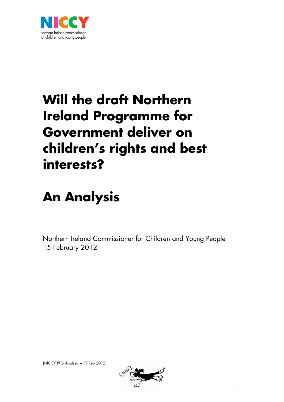

# **Will the draft Northern Ireland Programme for Government deliver on children's rights and best interests?**

# **An Analysis**

Northern Ireland Commissioner for Children and Young People 15 February 2012

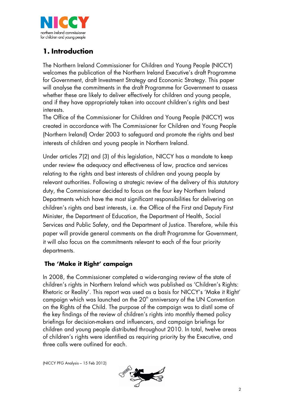

# **1. Introduction**

The Northern Ireland Commissioner for Children and Young People (NICCY) welcomes the publication of the Northern Ireland Executive's draft Programme for Government, draft Investment Strategy and Economic Strategy. This paper will analyse the commitments in the draft Programme for Government to assess whether these are likely to deliver effectively for children and young people, and if they have appropriately taken into account children's rights and best interests.

The Office of the Commissioner for Children and Young People (NICCY) was created in accordance with The Commissioner for Children and Young People (Northern Ireland) Order 2003 to safeguard and promote the rights and best interests of children and young people in Northern Ireland.

Under articles 7(2) and (3) of this legislation, NICCY has a mandate to keep under review the adequacy and effectiveness of law, practice and services relating to the rights and best interests of children and young people by relevant authorities. Following a strategic review of the delivery of this statutory duty, the Commissioner decided to focus on the four key Northern Ireland Departments which have the most significant responsibilities for delivering on children's rights and best interests, i.e. the Office of the First and Deputy First Minister, the Department of Education, the Department of Health, Social Services and Public Safety, and the Department of Justice. Therefore, while this paper will provide general comments on the draft Programme for Government, it will also focus on the commitments relevant to each of the four priority departments.

# **The 'Make it Right' campaign**

In 2008, the Commissioner completed a wide-ranging review of the state of children's rights in Northern Ireland which was published as 'Children's Rights: Rhetoric or Reality'. This report was used as a basis for NICCY's 'Make it Right' campaign which was launched on the  $20<sup>th</sup>$  anniversary of the UN Convention on the Rights of the Child. The purpose of the campaign was to distil some of the key findings of the review of children's rights into monthly themed policy briefings for decision-makers and influencers, and campaign briefings for children and young people distributed throughout 2010. In total, twelve areas of children's rights were identified as requiring priority by the Executive, and three calls were outlined for each.

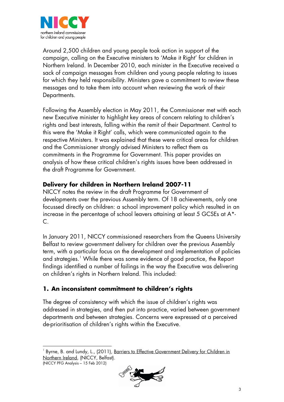

Around 2,500 children and young people took action in support of the campaign, calling on the Executive ministers to 'Make it Right' for children in Northern Ireland. In December 2010, each minister in the Executive received a sack of campaign messages from children and young people relating to issues for which they held responsibility. Ministers gave a commitment to review these messages and to take them into account when reviewing the work of their Departments.

Following the Assembly election in May 2011, the Commissioner met with each new Executive minister to highlight key areas of concern relating to children's rights and best interests, falling within the remit of their Department. Central to this were the 'Make it Right' calls, which were communicated again to the respective Ministers. It was explained that these were critical areas for children and the Commissioner strongly advised Ministers to reflect them as commitments in the Programme for Government. This paper provides an analysis of how these critical children's rights issues have been addressed in the draft Programme for Government.

#### **Delivery for children in Northern Ireland 2007-11**

NICCY notes the review in the draft Programme for Government of developments over the previous Assembly term. Of 18 achievements, only one focussed directly on children: a school improvement policy which resulted in an increase in the percentage of school leavers attaining at least 5 GCSEs at A\*- C.

In January 2011, NICCY commissioned researchers from the Queens University Belfast to review government delivery for children over the previous Assembly term, with a particular focus on the development and implementation of policies and strategies.<sup>[1](#page-2-0)</sup> While there was some evidence of good practice, the Report findings identified a number of failings in the way the Executive was delivering on children's rights in Northern Ireland. This included:

# **1. An inconsistent commitment to children's rights**

The degree of consistency with which the issue of children's rights was addressed in strategies, and then put into practice, varied between government departments and between strategies. Concerns were expressed at a perceived de-prioritisation of children's rights within the Executive.

<span id="page-2-0"></span><sup>(</sup>NICCY PFG Analysis – 15 Feb 2012) j 1 Byrne, B. and Lundy, L., (2011), Barriers to Effective Government Delivery for Children in Northern Ireland, (NICCY, Belfast).

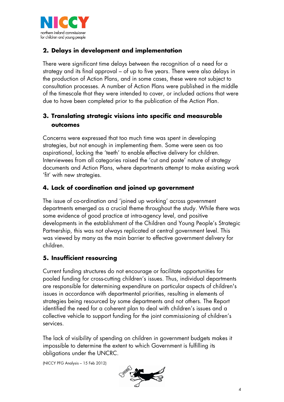

# **2. Delays in development and implementation**

There were significant time delays between the recognition of a need for a strategy and its final approval – of up to five years. There were also delays in the production of Action Plans, and in some cases, these were not subject to consultation processes. A number of Action Plans were published in the middle of the timescale that they were intended to cover, or included actions that were due to have been completed prior to the publication of the Action Plan.

# **3. Translating strategic visions into specific and measurable outcomes**

Concerns were expressed that too much time was spent in developing strategies, but not enough in implementing them. Some were seen as too aspirational, lacking the 'teeth' to enable effective delivery for children. Interviewees from all categories raised the 'cut and paste' nature of strategy documents and Action Plans, where departments attempt to make existing work 'fit' with new strategies.

# **4. Lack of coordination and joined up government**

The issue of co-ordination and 'joined up working' across government departments emerged as a crucial theme throughout the study. While there was some evidence of good practice at intra-agency level, and positive developments in the establishment of the Children and Young People's Strategic Partnership, this was not always replicated at central government level. This was viewed by many as the main barrier to effective government delivery for children.

# **5. Insufficient resourcing**

Current funding structures do not encourage or facilitate opportunities for pooled funding for cross-cutting children's issues. Thus, individual departments are responsible for determining expenditure on particular aspects of children's issues in accordance with departmental priorities, resulting in elements of strategies being resourced by some departments and not others. The Report identified the need for a coherent plan to deal with children's issues and a collective vehicle to support funding for the joint commissioning of children's services.

The lack of visibility of spending on children in government budgets makes it impossible to determine the extent to which Government is fulfilling its obligations under the UNCRC.

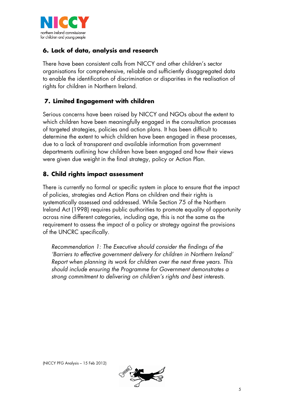

# **6. Lack of data, analysis and research**

There have been consistent calls from NICCY and other children's sector organisations for comprehensive, reliable and sufficiently disaggregated data to enable the identification of discrimination or disparities in the realisation of rights for children in Northern Ireland.

# **7. Limited Engagement with children**

Serious concerns have been raised by NICCY and NGOs about the extent to which children have been meaningfully engaged in the consultation processes of targeted strategies, policies and action plans. It has been difficult to determine the extent to which children have been engaged in these processes, due to a lack of transparent and available information from government departments outlining how children have been engaged and how their views were given due weight in the final strategy, policy or Action Plan.

## **8. Child rights impact assessment**

There is currently no formal or specific system in place to ensure that the impact of policies, strategies and Action Plans on children and their rights is systematically assessed and addressed. While Section 75 of the Northern Ireland Act (1998) requires public authorities to promote equality of opportunity across nine different categories, including age, this is not the same as the requirement to assess the impact of a policy or strategy against the provisions of the UNCRC specifically.

*Recommendation 1: The Executive should consider the findings of the 'Barriers to effective government delivery for children in Northern Ireland' Report when planning its work for children over the next three years. This should include ensuring the Programme for Government demonstrates a strong commitment to delivering on children's rights and best interests.*

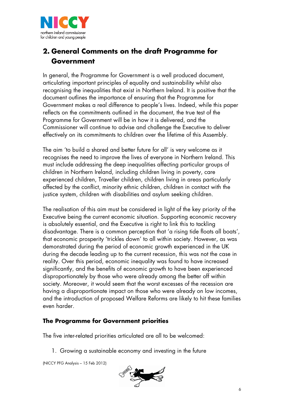

# **2. General Comments on the draft Programme for Government**

In general, the Programme for Government is a well produced document, articulating important principles of equality and sustainability whilst also recognising the inequalities that exist in Northern Ireland. It is positive that the document outlines the importance of ensuring that the Programme for Government makes a real difference to people's lives. Indeed, while this paper reflects on the commitments outlined in the document, the true test of the Programme for Government will be in how it is delivered, and the Commissioner will continue to advise and challenge the Executive to deliver effectively on its commitments to children over the lifetime of this Assembly.

The aim 'to build a shared and better future for all' is very welcome as it recognises the need to improve the lives of everyone in Northern Ireland. This must include addressing the deep inequalities affecting particular groups of children in Northern Ireland, including children living in poverty, care experienced children, Traveller children, children living in areas particularly affected by the conflict, minority ethnic children, children in contact with the justice system, children with disabilities and asylum seeking children.

The realisation of this aim must be considered in light of the key priority of the Executive being the current economic situation. Supporting economic recovery is absolutely essential, and the Executive is right to link this to tackling disadvantage. There is a common perception that 'a rising tide floats all boats', that economic prosperity 'trickles down' to all within society. However, as was demonstrated during the period of economic growth experienced in the UK during the decade leading up to the current recession, this was not the case in reality. Over this period, economic inequality was found to have increased significantly, and the benefits of economic growth to have been experienced disproportionately by those who were already among the better off within society. Moreover, it would seem that the worst excesses of the recession are having a disproportionate impact on those who were already on low incomes, and the introduction of proposed Welfare Reforms are likely to hit these families even harder.

#### **The Programme for Government priorities**

The five inter-related priorities articulated are all to be welcomed:

1. Growing a sustainable economy and investing in the future

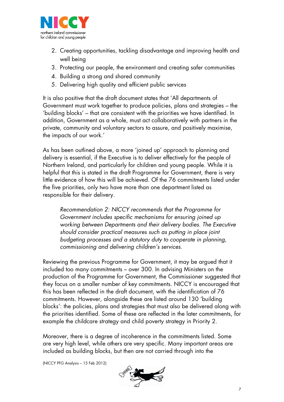

- 2. Creating opportunities, tackling disadvantage and improving health and well being
- 3. Protecting our people, the environment and creating safer communities
- 4. Building a strong and shared community
- 5. Delivering high quality and efficient public services

It is also positive that the draft document states that 'All departments of Government must work together to produce policies, plans and strategies – the 'building blocks' – that are consistent with the priorities we have identified. In addition, Government as a whole, must act collaboratively with partners in the private, community and voluntary sectors to assure, and positively maximise, the impacts of our work.'

As has been outlined above, a more 'joined up' approach to planning and delivery is essential, if the Executive is to deliver effectively for the people of Northern Ireland, and particularly for children and young people. While it is helpful that this is stated in the draft Programme for Government, there is very little evidence of how this will be achieved. Of the 76 commitments listed under the five priorities, only two have more than one department listed as responsible for their delivery.

*Recommendation 2: NICCY recommends that the Programme for Government includes specific mechanisms for ensuring joined up working between Departments and their delivery bodies. The Executive should consider practical measures such as putting in place joint budgeting processes and a statutory duty to cooperate in planning, commissioning and delivering children's services.*

Reviewing the previous Programme for Government, it may be argued that it included too many commitments – over 300. In advising Ministers on the production of the Programme for Government, the Commissioner suggested that they focus on a smaller number of key commitments. NICCY is encouraged that this has been reflected in the draft document, with the identification of 76 commitments. However, alongside these are listed around 130 'building blocks': the policies, plans and strategies that must also be delivered along with the priorities identified. Some of these are reflected in the later commitments, for example the childcare strategy and child poverty strategy in Priority 2.

Moreover, there is a degree of incoherence in the commitments listed. Some are very high level, while others are very specific. Many important areas are included as building blocks, but then are not carried through into the

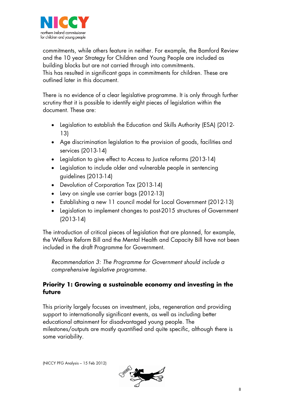

commitments, while others feature in neither. For example, the Bamford Review and the 10 year Strategy for Children and Young People are included as building blocks but are not carried through into commitments. This has resulted in significant gaps in commitments for children. These are outlined later in this document.

There is no evidence of a clear legislative programme. It is only through further scrutiny that it is possible to identify eight pieces of legislation within the document. These are:

- Legislation to establish the Education and Skills Authority (ESA) (2012- 13)
- Age discrimination legislation to the provision of goods, facilities and services (2013-14)
- Legislation to give effect to Access to Justice reforms (2013-14)
- Legislation to include older and vulnerable people in sentencing guidelines (2013-14)
- Devolution of Corporation Tax (2013-14)
- Levy on single use carrier bags (2012-13)
- Establishing a new 11 council model for Local Government (2012-13)
- Legislation to implement changes to post-2015 structures of Government (2013-14)

The introduction of critical pieces of legislation that are planned, for example, the Welfare Reform Bill and the Mental Health and Capacity Bill have not been included in the draft Programme for Government.

*Recommendation 3: The Programme for Government should include a comprehensive legislative programme.*

## **Priority 1: Growing a sustainable economy and investing in the future**

This priority largely focuses on investment, jobs, regeneration and providing support to internationally significant events, as well as including better educational attainment for disadvantaged young people. The milestones/outputs are mostly quantified and quite specific, although there is some variability.

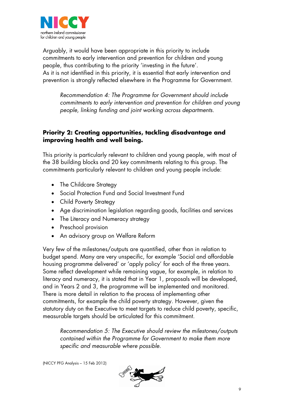

Arguably, it would have been appropriate in this priority to include commitments to early intervention and prevention for children and young people, thus contributing to the priority 'investing in the future'. As it is not identified in this priority, it is essential that early intervention and prevention is strongly reflected elsewhere in the Programme for Government.

*Recommendation 4: The Programme for Government should include commitments to early intervention and prevention for children and young people, linking funding and joint working across departments.*

## **Priority 2: Creating opportunities, tackling disadvantage and improving health and well being.**

This priority is particularly relevant to children and young people, with most of the 38 building blocks and 20 key commitments relating to this group. The commitments particularly relevant to children and young people include:

- The Childcare Strategy
- Social Protection Fund and Social Investment Fund
- Child Poverty Strategy
- Age discrimination legislation regarding goods, facilities and services
- The Literacy and Numeracy strategy
- Preschool provision
- An advisory group on Welfare Reform

Very few of the milestones/outputs are quantified, other than in relation to budget spend. Many are very unspecific, for example 'Social and affordable housing programme delivered' or 'apply policy' for each of the three years. Some reflect development while remaining vague, for example, in relation to literacy and numeracy, it is stated that in Year 1, proposals will be developed, and in Years 2 and 3, the programme will be implemented and monitored. There is more detail in relation to the process of implementing other commitments, for example the child poverty strategy. However, given the statutory duty on the Executive to meet targets to reduce child poverty, specific, measurable targets should be articulated for this commitment.

*Recommendation 5: The Executive should review the milestones/outputs contained within the Programme for Government to make them more specific and measurable where possible.*

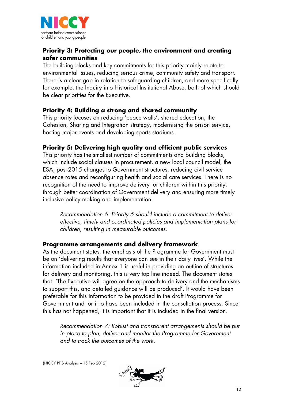

## **Priority 3: Protecting our people, the environment and creating safer communities**

The building blocks and key commitments for this priority mainly relate to environmental issues, reducing serious crime, community safety and transport. There is a clear gap in relation to safeguarding children, and more specifically, for example, the Inquiry into Historical Institutional Abuse, both of which should be clear priorities for the Executive.

#### **Priority 4: Building a strong and shared community**

This priority focuses on reducing 'peace walls', shared education, the Cohesion, Sharing and Integration strategy, modernising the prison service, hosting major events and developing sports stadiums.

## **Priority 5: Delivering high quality and efficient public services**

This priority has the smallest number of commitments and building blocks, which include social clauses in procurement, a new local council model, the ESA, post-2015 changes to Government structures, reducing civil service absence rates and reconfiguring health and social care services. There is no recognition of the need to improve delivery for children within this priority, through better coordination of Government delivery and ensuring more timely inclusive policy making and implementation.

*Recommendation 6: Priority 5 should include a commitment to deliver effective, timely and coordinated policies and implementation plans for children, resulting in measurable outcomes.*

#### **Programme arrangements and delivery framework**

As the document states, the emphasis of the Programme for Government must be on 'delivering results that everyone can see in their daily lives'. While the information included in Annex 1 is useful in providing an outline of structures for delivery and monitoring, this is very top line indeed. The document states that: 'The Executive will agree on the approach to delivery and the mechanisms to support this, and detailed guidance will be produced'. It would have been preferable for this information to be provided in the draft Programme for Government and for it to have been included in the consultation process. Since this has not happened, it is important that it is included in the final version.

*Recommendation 7: Robust and transparent arrangements should be put in place to plan, deliver and monitor the Programme for Government and to track the outcomes of the work.*

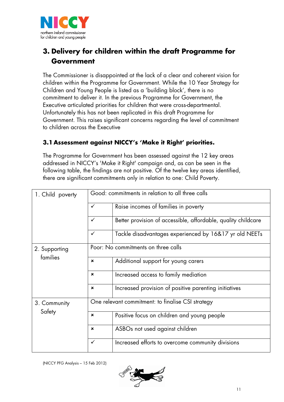

# **3. Delivery for children within the draft Programme for Government**

The Commissioner is disappointed at the lack of a clear and coherent vision for children within the Programme for Government. While the 10 Year Strategy for Children and Young People is listed as a 'building block', there is no commitment to deliver it. In the previous Programme for Government, the Executive articulated priorities for children that were cross-departmental. Unfortunately this has not been replicated in this draft Programme for Government. This raises significant concerns regarding the level of commitment to children across the Executive

# **3.1 Assessment against NICCY's 'Make it Right' priorities.**

The Programme for Government has been assessed against the 12 key areas addressed in NICCY's 'Make it Right' campaign and, as can be seen in the following table, the findings are not positive. Of the twelve key areas identified, there are significant commitments only in relation to one: Child Poverty.

| 1. Child poverty          | Good: commitments in relation to all three calls  |                                                               |  |
|---------------------------|---------------------------------------------------|---------------------------------------------------------------|--|
|                           | $\checkmark$                                      | Raise incomes of families in poverty                          |  |
|                           | ✓                                                 | Better provision of accessible, affordable, quality childcare |  |
|                           | $\checkmark$                                      | Tackle disadvantages experienced by 16&17 yr old NEETs        |  |
| 2. Supporting<br>families | Poor: No commitments on three calls               |                                                               |  |
|                           | $\boldsymbol{\mathsf{x}}$                         | Additional support for young carers                           |  |
|                           | ×                                                 | Increased access to family mediation                          |  |
|                           | $\mathbf x$                                       | Increased provision of positive parenting initiatives         |  |
| 3. Community<br>Safety    | One relevant commitment: to finalise CSI strategy |                                                               |  |
|                           | $\boldsymbol{\mathsf{x}}$                         | Positive focus on children and young people                   |  |
|                           | $\boldsymbol{\mathsf{x}}$                         | ASBOs not used against children                               |  |
|                           | $\checkmark$                                      | Increased efforts to overcome community divisions             |  |

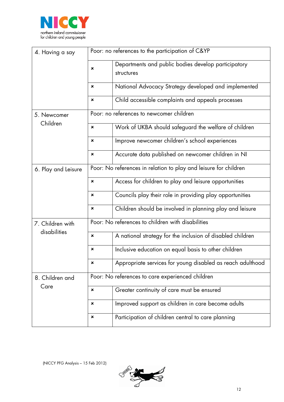

| 4. Having a say                  | Poor: no references to the participation of C&YP                 |                                                                   |  |
|----------------------------------|------------------------------------------------------------------|-------------------------------------------------------------------|--|
|                                  | $\boldsymbol{\mathsf{x}}$                                        | Departments and public bodies develop participatory<br>structures |  |
|                                  | $\boldsymbol{\mathsf{x}}$                                        | National Advocacy Strategy developed and implemented              |  |
|                                  | $\pmb{\times}$                                                   | Child accessible complaints and appeals processes                 |  |
| 5. Newcomer                      | Poor: no references to newcomer children                         |                                                                   |  |
| Children                         | $\pmb{\times}$                                                   | Work of UKBA should safeguard the welfare of children             |  |
|                                  | $\mathbf x$                                                      | Improve newcomer children's school experiences                    |  |
|                                  | $\boldsymbol{\mathsf{x}}$                                        | Accurate data published on newcomer children in NI                |  |
| 6. Play and Leisure              | Poor: No references in relation to play and leisure for children |                                                                   |  |
|                                  | $\pmb{\times}$                                                   | Access for children to play and leisure opportunities             |  |
|                                  | $\mathbf x$                                                      | Councils play their role in providing play opportunities          |  |
|                                  | $\pmb{\times}$                                                   | Children should be involved in planning play and leisure          |  |
| 7. Children with<br>disabilities | Poor: No references to children with disabilities                |                                                                   |  |
|                                  | $\pmb{\times}$                                                   | A national strategy for the inclusion of disabled children        |  |
|                                  | $\pmb{\times}$                                                   | Inclusive education on equal basis to other children              |  |
|                                  | ×                                                                | Appropriate services for young disabled as reach adulthood        |  |
| 8. Children and<br>Care          | Poor: No references to care experienced children                 |                                                                   |  |
|                                  | ×                                                                | Greater continuity of care must be ensured                        |  |
|                                  | ×                                                                | Improved support as children in care become adults                |  |
|                                  | ×                                                                | Participation of children central to care planning                |  |

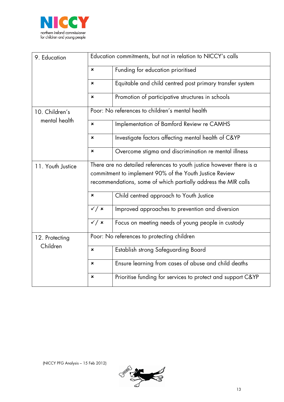

| 9. Education                    | Education commitments, but not in relation to NICCY's calls                                                                                                                                       |                                                             |  |
|---------------------------------|---------------------------------------------------------------------------------------------------------------------------------------------------------------------------------------------------|-------------------------------------------------------------|--|
|                                 | $\pmb{\times}$                                                                                                                                                                                    | Funding for education prioritised                           |  |
|                                 | $\mathbf x$                                                                                                                                                                                       | Equitable and child centred post primary transfer system    |  |
|                                 | $\pmb{\times}$                                                                                                                                                                                    | Promotion of participative structures in schools            |  |
| 10. Children's<br>mental health | Poor: No references to children's mental health                                                                                                                                                   |                                                             |  |
|                                 | $\mathbf x$                                                                                                                                                                                       | Implementation of Bamford Review re CAMHS                   |  |
|                                 | $\pmb{\times}$                                                                                                                                                                                    | Investigate factors affecting mental health of C&YP         |  |
|                                 | $\pmb{\times}$                                                                                                                                                                                    | Overcome stigma and discrimination re mental illness        |  |
| 11. Youth Justice               | There are no detailed references to youth justice however there is a<br>commitment to implement 90% of the Youth Justice Review<br>recommendations, some of which partially address the MIR calls |                                                             |  |
|                                 | $\boldsymbol{\mathsf{x}}$                                                                                                                                                                         | Child centred approach to Youth Justice                     |  |
|                                 | $\checkmark$ / $\checkmark$                                                                                                                                                                       | Improved approaches to prevention and diversion             |  |
|                                 | $\checkmark$ / $\checkmark$                                                                                                                                                                       | Focus on meeting needs of young people in custody           |  |
| 12. Protecting<br>Children      | Poor: No references to protecting children                                                                                                                                                        |                                                             |  |
|                                 | $\pmb{\times}$                                                                                                                                                                                    | Establish strong Safeguarding Board                         |  |
|                                 | $\mathbf x$                                                                                                                                                                                       | Ensure learning from cases of abuse and child deaths        |  |
|                                 | ×                                                                                                                                                                                                 | Prioritise funding for services to protect and support C&YP |  |

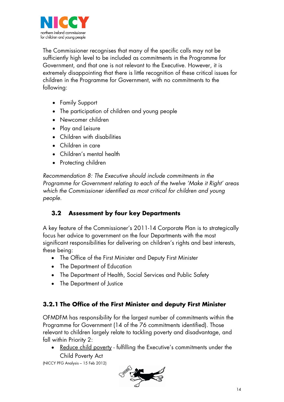

The Commissioner recognises that many of the specific calls may not be sufficiently high level to be included as commitments in the Programme for Government, and that one is not relevant to the Executive. However, it is extremely disappointing that there is little recognition of these critical issues for children in the Programme for Government, with no commitments to the following:

- Family Support
- The participation of children and young people
- Newcomer children
- Play and Leisure
- Children with disabilities
- Children in care
- Children's mental health
- Protecting children

*Recommendation 8: The Executive should include commitments in the Programme for Government relating to each of the twelve 'Make it Right' areas which the Commissioner identified as most critical for children and young people.*

# **3.2 Assessment by four key Departments**

A key feature of the Commissioner's 2011-14 Corporate Plan is to strategically focus her advice to government on the four Departments with the most significant responsibilities for delivering on children's rights and best interests, these being:

- The Office of the First Minister and Deputy First Minister
- The Department of Education
- The Department of Health, Social Services and Public Safety
- The Department of Justice

# **3.2.1 The Office of the First Minister and deputy First Minister**

OFMDFM has responsibility for the largest number of commitments within the Programme for Government (14 of the 76 commitments identified). Those relevant to children largely relate to tackling poverty and disadvantage, and fall within Priority 2:

• Reduce child poverty - fulfilling the Executive's commitments under the Child Poverty Act

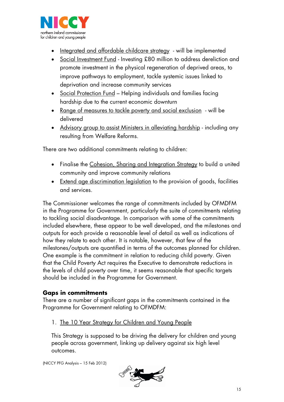

- Integrated and affordable childcare strategy will be implemented
- Social Investment Fund Investing £80 million to address dereliction and promote investment in the physical regeneration of deprived areas, to improve pathways to employment, tackle systemic issues linked to deprivation and increase community services
- Social Protection Fund Helping individuals and families facing hardship due to the current economic downturn
- <u>Range of measures to tackle poverty and social exclusion</u> will be delivered
- Advisory group to assist Ministers in alleviating hardship including any resulting from Welfare Reforms.

There are two additional commitments relating to children:

- Finalise the <u>Cohesion, Sharing and Integration Strategy</u> to build a united community and improve community relations
- Extend age discrimination legislation to the provision of goods, facilities and services.

The Commissioner welcomes the range of commitments included by OFMDFM in the Programme for Government, particularly the suite of commitments relating to tackling social disadvantage. In comparison with some of the commitments included elsewhere, these appear to be well developed, and the milestones and outputs for each provide a reasonable level of detail as well as indications of how they relate to each other. It is notable, however, that few of the milestones/outputs are quantified in terms of the outcomes planned for children. One example is the commitment in relation to reducing child poverty. Given that the Child Poverty Act requires the Executive to demonstrate reductions in the levels of child poverty over time, it seems reasonable that specific targets should be included in the Programme for Government.

#### **Gaps in commitments**

There are a number of significant gaps in the commitments contained in the Programme for Government relating to OFMDFM:

#### 1. The 10 Year Strategy for Children and Young People

This Strategy is supposed to be driving the delivery for children and young people across government, linking up delivery against six high level outcomes.

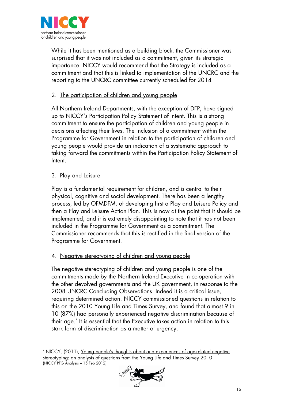

While it has been mentioned as a building block, the Commissioner was surprised that it was not included as a commitment, given its strategic importance. NICCY would recommend that the Strategy is included as a commitment and that this is linked to implementation of the UNCRC and the reporting to the UNCRC committee currently scheduled for 2014

## 2. The participation of children and young people

All Northern Ireland Departments, with the exception of DFP, have signed up to NICCY's Participation Policy Statement of Intent. This is a strong commitment to ensure the participation of children and young people in decisions affecting their lives. The inclusion of a commitment within the Programme for Government in relation to the participation of children and young people would provide an indication of a systematic approach to taking forward the commitments within the Participation Policy Statement of Intent.

## 3. <u>Play and Leisure</u>

Play is a fundamental requirement for children, and is central to their physical, cognitive and social development. There has been a lengthy process, led by OFMDFM, of developing first a Play and Leisure Policy and then a Play and Leisure Action Plan. This is now at the point that it should be implemented, and it is extremely disappointing to note that it has not been included in the Programme for Government as a commitment. The Commissioner recommends that this is rectified in the final version of the Programme for Government.

#### 4. Negative stereotyping of children and young people

The negative stereotyping of children and young people is one of the commitments made by the Northern Ireland Executive in co-operation with the other devolved governments and the UK government, in response to the 2008 UNCRC Concluding Observations. Indeed it is a critical issue, requiring determined action. NICCY commissioned questions in relation to this on the 2010 Young Life and Times Survey, and found that almost 9 in 10 (87%) had personally experienced negative discrimination because of their age. $^2$  $^2$  It is essential that the Executive takes action in relation to this stark form of discrimination as a matter of urgency.

<span id="page-15-0"></span><sup>(</sup>NICCY PFG Analysis – 15 Feb 2012) j <sup>2</sup> NICCY, (2011), <u>Young people's thoughts about and experiences of age-related negative</u> stereotyping: an analysis of questions from the Young Life and Times Survey 2010

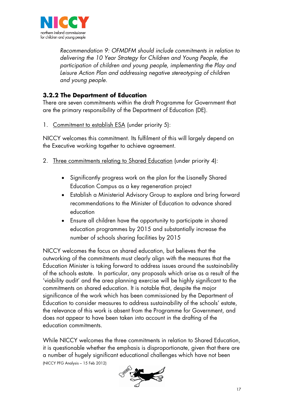

*Recommendation 9: OFMDFM should include commitments in relation to delivering the 10 Year Strategy for Children and Young People, the participation of children and young people, implementing the Play and Leisure Action Plan and addressing negative stereotyping of children and young people.*

# **3.2.2 The Department of Education**

There are seven commitments within the draft Programme for Government that are the primary responsibility of the Department of Education (DE).

1. Commitment to establish ESA (under priority 5):

NICCY welcomes this commitment. Its fulfilment of this will largely depend on the Executive working together to achieve agreement.

- 2. Three commitments relating to Shared Education (under priority 4):
	- Significantly progress work on the plan for the Lisanelly Shared Education Campus as a key regeneration project
	- Establish a Ministerial Advisory Group to explore and bring forward recommendations to the Minister of Education to advance shared education
	- Ensure all children have the opportunity to participate in shared education programmes by 2015 and substantially increase the number of schools sharing facilities by 2015

NICCY welcomes the focus on shared education, but believes that the outworking of the commitments must clearly align with the measures that the Education Minister is taking forward to address issues around the sustainability of the schools estate. In particular, any proposals which arise as a result of the 'viability audit' and the area planning exercise will be highly significant to the commitments on shared education. It is notable that, despite the major significance of the work which has been commissioned by the Department of Education to consider measures to address sustainability of the schools' estate, the relevance of this work is absent from the Programme for Government, and does not appear to have been taken into account in the drafting of the education commitments.

(NICCY PFG Analysis – 15 Feb 2012) While NICCY welcomes the three commitments in relation to Shared Education, it is questionable whether the emphasis is disproportionate, given that there are a number of hugely significant educational challenges which have not been

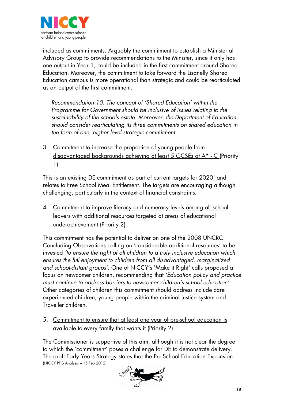

included as commitments. Arguably the commitment to establish a Ministerial Advisory Group to provide recommendations to the Minister, since it only has one output in Year 1, could be included in the first commitment around Shared Education. Moreover, the commitment to take forward the Lisanelly Shared Education campus is more operational than strategic and could be rearticulated as an output of the first commitment.

*Recommendation 10: The concept of 'Shared Education' within the Programme for Government should be inclusive of issues relating to the sustainability of the schools estate*. *Moreover, the Department of Education should consider rearticulating its three commitments on shared education in the form of one, higher level strategic commitment.*

3. Commitment to increase the proportion of young people from disadvantaged backgrounds achieving at least 5 GCSEs at A\* - C (Priority 1)

This is an existing DE commitment as part of current targets for 2020, and relates to Free School Meal Entitlement. The targets are encouraging although challenging, particularly in the context of financial constraints.

4. Commitment to improve literacy and numeracy levels among all school leavers with additional resources targeted at areas of educational underachievement (Priority 2)

This commitment has the potential to deliver on one of the 2008 UNCRC Concluding Observations calling on 'considerable additional resources' to be invested *'to ensure the right of all children to a truly inclusive education which ensures the full enjoyment to children from all disadvantaged, marginalized and school-distant groups'.* One of NICCY's 'Make it Right' calls proposed a focus on newcomer children, recommending that *'Education policy and practice must continue to address barriers to newcomer children's school education'*. Other categories of children this commitment should address include care experienced children, young people within the criminal justice system and Traveller children.

5. Commitment to ensure that at least one year of pre-school education is available to every family that wants it (Priority 2)

(NICCY PFG Analysis – 15 Feb 2012) The Commissioner is supportive of this aim, although it is not clear the degree to which the 'commitment' poses a challenge for DE to demonstrate delivery. The draft Early Years Strategy states that the Pre-School Education Expansion

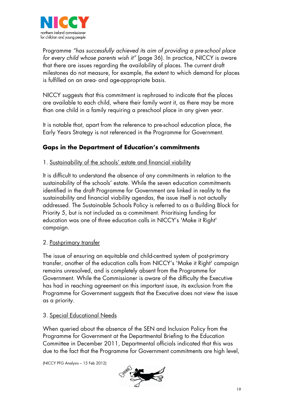

Programme *"has successfully achieved its aim of providing a pre-school place for every child whose parents wish it"* (page 36). In practice, NICCY is aware that there are issues regarding the availability of places. The current draft milestones do not measure, for example, the extent to which demand for places is fulfilled on an area- and age-appropriate basis.

NICCY suggests that this commitment is rephrased to indicate that the places are available to each child, where their family want it, as there may be more than one child in a family requiring a preschool place in any given year.

It is notable that, apart from the reference to pre-school education place, the Early Years Strategy is not referenced in the Programme for Government.

# **Gaps in the Department of Education's commitments**

1. Sustainability of the schools' estate and financial viability

It is difficult to understand the absence of any commitments in relation to the sustainability of the schools' estate. While the seven education commitments identified in the draft Programme for Government are linked in reality to the sustainability and financial viability agendas, the issue itself is not actually addressed. The Sustainable Schools Policy is referred to as a Building Block for Priority 5, but is not included as a commitment. Prioritising funding for education was one of three education calls in NICCY's 'Make it Right' campaign.

## 2. <u>Post-primary transfer</u>

The issue of ensuring an equitable and child-centred system of post-primary transfer, another of the education calls from NICCY's 'Make it Right' campaign remains unresolved, and is completely absent from the Programme for Government. While the Commissioner is aware of the difficulty the Executive has had in reaching agreement on this important issue, its exclusion from the Programme for Government suggests that the Executive does not view the issue as a priority.

#### 3. Special Educational Needs

When queried about the absence of the SEN and Inclusion Policy from the Programme for Government at the Departmental Briefing to the Education Committee in December 2011, Departmental officials indicated that this was due to the fact that the Programme for Government commitments are high level,

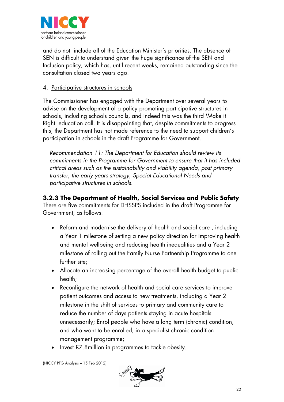

and do not include all of the Education Minister's priorities. The absence of SEN is difficult to understand given the huge significance of the SEN and Inclusion policy, which has, until recent weeks, remained outstanding since the consultation closed two years ago.

#### 4. Participative structures in schools

The Commissioner has engaged with the Department over several years to advise on the development of a policy promoting participative structures in schools, including schools councils, and indeed this was the third 'Make it Right' education call. It is disappointing that, despite commitments to progress this, the Department has not made reference to the need to support children's participation in schools in the draft Programme for Government.

*Recommendation 11: The Department for Education should review its commitments in the Programme for Government to ensure that it has included critical areas such as the sustainability and viability agenda, post primary transfer, the early years strategy, Special Educational Needs and participative structures in schools.*

# **3.2.3 The Department of Health, Social Services and Public Safety**

There are five commitments for DHSSPS included in the draft Programme for Government, as follows:

- Reform and modernise the delivery of health and social care , including a Year 1 milestone of setting a new policy direction for improving health and mental wellbeing and reducing health inequalities and a Year 2 milestone of rolling out the Family Nurse Partnership Programme to one further site;
- Allocate an increasing percentage of the overall health budget to public health;
- Reconfigure the network of health and social care services to improve patient outcomes and access to new treatments, including a Year 2 milestone in the shift of services to primary and community care to reduce the number of days patients staying in acute hospitals unnecessarily; Enrol people who have a long term (chronic) condition, and who want to be enrolled, in a specialist chronic condition management programme;
- Invest £7.8million in programmes to tackle obesity.

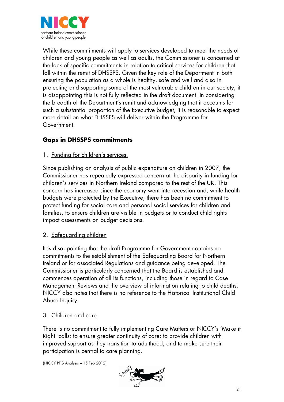

While these commitments will apply to services developed to meet the needs of children and young people as well as adults, the Commissioner is concerned at the lack of specific commitments in relation to critical services for children that fall within the remit of DHSSPS. Given the key role of the Department in both ensuring the population as a whole is healthy, safe and well and also in protecting and supporting some of the most vulnerable children in our society, it is disappointing this is not fully reflected in the draft document. In considering the breadth of the Department's remit and acknowledging that it accounts for such a substantial proportion of the Executive budget, it is reasonable to expect more detail on what DHSSPS will deliver within the Programme for Government.

# **Gaps in DHSSPS commitments**

1. Funding for children's services.

Since publishing an analysis of public expenditure on children in 2007, the Commissioner has repeatedly expressed concern at the disparity in funding for children's services in Northern Ireland compared to the rest of the UK. This concern has increased since the economy went into recession and, while health budgets were protected by the Executive, there has been no commitment to protect funding for social care and personal social services for children and families, to ensure children are visible in budgets or to conduct child rights impact assessments on budget decisions.

2. <u>Safeguarding children</u>

It is disappointing that the draft Programme for Government contains no commitments to the establishment of the Safeguarding Board for Northern Ireland or for associated Regulations and guidance being developed. The Commissioner is particularly concerned that the Board is established and commences operation of all its functions, including those in regard to Case Management Reviews and the overview of information relating to child deaths. NICCY also notes that there is no reference to the Historical Institutional Child Abuse Inquiry.

#### 3. Children and care

There is no commitment to fully implementing Care Matters or NICCY's 'Make it Right' calls: to ensure greater continuity of care; to provide children with improved support as they transition to adulthood; and to make sure their participation is central to care planning.

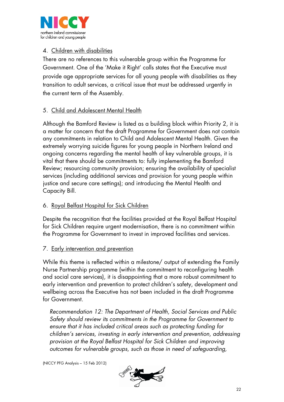

#### 4. Children with disabilities

There are no references to this vulnerable group within the Programme for Government. One of the 'Make it Right' calls states that the Executive must provide age appropriate services for all young people with disabilities as they transition to adult services, a critical issue that must be addressed urgently in the current term of the Assembly.

## 5. Child and Adolescent Mental Health

Although the Bamford Review is listed as a building block within Priority 2, it is a matter for concern that the draft Programme for Government does not contain any commitments in relation to Child and Adolescent Mental Health. Given the extremely worrying suicide figures for young people in Northern Ireland and ongoing concerns regarding the mental health of key vulnerable groups, it is vital that there should be commitments to: fully implementing the Bamford Review; resourcing community provision; ensuring the availability of specialist services (including additional services and provision for young people within justice and secure care settings); and introducing the Mental Health and Capacity Bill.

#### 6. Royal Belfast Hospital for Sick Children

Despite the recognition that the facilities provided at the Royal Belfast Hospital for Sick Children require urgent modernisation, there is no commitment within the Programme for Government to invest in improved facilities and services.

#### 7. Early intervention and prevention

While this theme is reflected within a milestone/ output of extending the Family Nurse Partnership programme (within the commitment to reconfiguring health and social care services), it is disappointing that a more robust commitment to early intervention and prevention to protect children's safety, development and wellbeing across the Executive has not been included in the draft Programme for Government.

*Recommendation 12: The Department of Health, Social Services and Public Safety should review its commitments in the Programme for Government to ensure that it has included critical areas such as protecting funding for children's services, investing in early intervention and prevention, addressing provision at the Royal Belfast Hospital for Sick Children and improving outcomes for vulnerable groups, such as those in need of safeguarding,* 

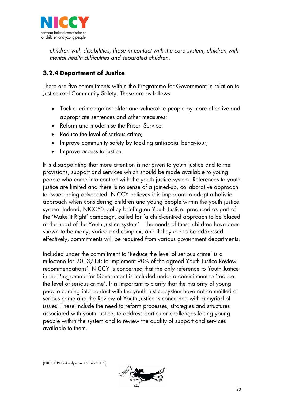

*children with disabilities, those in contact with the care system, children with mental health difficulties and separated children.* 

# **3.2.4 Department of Justice**

There are five commitments within the Programme for Government in relation to Justice and Community Safety. These are as follows:

- Tackle crime against older and vulnerable people by more effective and appropriate sentences and other measures;
- Reform and modernise the Prison Service;
- Reduce the level of serious crime;
- Improve community safety by tackling anti-social behaviour;
- Improve access to justice.

It is disappointing that more attention is not given to youth justice and to the provisions, support and services which should be made available to young people who come into contact with the youth justice system. References to youth justice are limited and there is no sense of a joined-up, collaborative approach to issues being advocated. NICCY believes it is important to adopt a holistic approach when considering children and young people within the youth justice system. Indeed, NICCY's policy briefing on Youth Justice, produced as part of the 'Make it Right' campaign, called for 'a child-centred approach to be placed at the heart of the Youth Justice system'. The needs of these children have been shown to be many, varied and complex, and if they are to be addressed effectively, commitments will be required from various government departments.

Included under the commitment to 'Reduce the level of serious crime' is a milestone for 2013/14;'to implement 90% of the agreed Youth Justice Review recommendations'. NICCY is concerned that the only reference to Youth Justice in the Programme for Government is included under a commitment to 'reduce the level of serious crime'. It is important to clarify that the majority of young people coming into contact with the youth justice system have not committed a serious crime and the Review of Youth Justice is concerned with a myriad of issues. These include the need to reform processes, strategies and structures associated with youth justice, to address particular challenges facing young people within the system and to review the quality of support and services available to them.

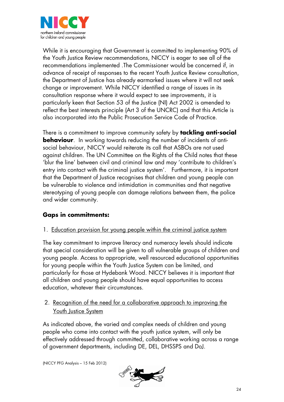

While it is encouraging that Government is committed to implementing 90% of the Youth Justice Review recommendations, NICCY is eager to see all of the recommendations implemented .The Commissioner would be concerned if, in advance of receipt of responses to the recent Youth Justice Review consultation, the Department of Justice has already earmarked issues where it will not seek change or improvement. While NICCY identified a range of issues in its consultation response where it would expect to see improvements, it is particularly keen that Section 53 of the Justice (NI) Act 2002 is amended to reflect the best interests principle (Art 3 of the UNCRC) and that this Article is also incorporated into the Public Prosecution Service Code of Practice.

There is a commitment to improve community safety by **tackling anti-social behaviour**. In working towards reducing the number of incidents of antisocial behaviour, NICCY would reiterate its call that ASBOs are not used against children. The UN Committee on the Rights of the Child notes that these 'blur the line' between civil and criminal law and may 'contribute to children's entry into contact with the criminal justice system'. Furthermore, it is important that the Department of Justice recognises that children and young people can be vulnerable to violence and intimidation in communities and that negative stereotyping of young people can damage relations between them, the police and wider community.

# **Gaps in commitments:**

#### 1. Education provision for young people within the criminal justice system

The key commitment to improve literacy and numeracy levels should indicate that special consideration will be given to all vulnerable groups of children and young people. Access to appropriate, well resourced educational opportunities for young people within the Youth Justice System can be limited, and particularly for those at Hydebank Wood. NICCY believes it is important that all children and young people should have equal opportunities to access education, whatever their circumstances.

## 2. Recognition of the need for a collaborative approach to improving the Youth Justice System

As indicated above, the varied and complex needs of children and young people who come into contact with the youth justice system, will only be effectively addressed through committed, collaborative working across a range of government departments, including DE, DEL, DHSSPS and DoJ.

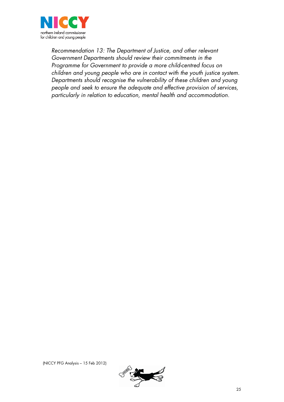

*Recommendation 13: The Department of Justice, and other relevant Government Departments should review their commitments in the Programme for Government to provide a more child-centred focus on children and young people who are in contact with the youth justice system. Departments should recognise the vulnerability of these children and young people and seek to ensure the adequate and effective provision of services, particularly in relation to education, mental health and accommodation.* 

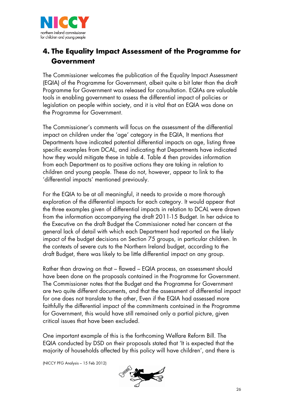

# **4. The Equality Impact Assessment of the Programme for Government**

The Commissioner welcomes the publication of the Equality Impact Assessment (EQIA) of the Programme for Government, albeit quite a bit later than the draft Programme for Government was released for consultation. EQIAs are valuable tools in enabling government to assess the differential impact of policies or legislation on people within society, and it is vital that an EQIA was done on the Programme for Government.

The Commissioner's comments will focus on the assessment of the differential impact on children under the 'age' category in the EQIA, It mentions that Departments have indicated potential differential impacts on age, listing three specific examples from DCAL, and indicating that Departments have indicated how they would mitigate these in table 4. Table 4 then provides information from each Department as to positive actions they are taking in relation to children and young people. These do not, however, appear to link to the 'differential impacts' mentioned previously.

For the EQIA to be at all meaningful, it needs to provide a more thorough exploration of the differential impacts for each category. It would appear that the three examples given of differential impacts in relation to DCAL were drawn from the information accompanying the draft 2011-15 Budget. In her advice to the Executive on the draft Budget the Commissioner noted her concern at the general lack of detail with which each Department had reported on the likely impact of the budget decisions on Section 75 groups, in particular children. In the contexts of severe cuts to the Northern Ireland budget, according to the draft Budget, there was likely to be little differential impact on any group.

Rather than drawing on that – flawed – EQIA process, an assessment should have been done on the proposals contained in the Programme for Government. The Commissioner notes that the Budget and the Programme for Government are two quite different documents, and that the assessment of differential impact for one does not translate to the other, Even if the EQIA had assessed more faithfully the differential impact of the commitments contained in the Programme for Government, this would have still remained only a partial picture, given critical issues that have been excluded.

One important example of this is the forthcoming Welfare Reform Bill. The EQIA conducted by DSD on their proposals stated that 'It is expected that the majority of households affected by this policy will have children', and there is

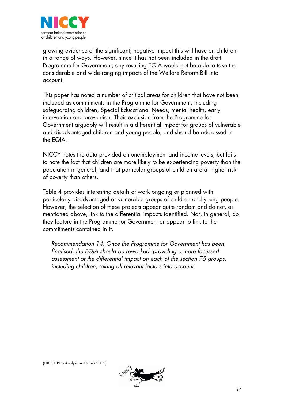

growing evidence of the significant, negative impact this will have on children, in a range of ways. However, since it has not been included in the draft Programme for Government, any resulting EQIA would not be able to take the considerable and wide ranging impacts of the Welfare Reform Bill into account.

This paper has noted a number of critical areas for children that have not been included as commitments in the Programme for Government, including safeguarding children, Special Educational Needs, mental health, early intervention and prevention. Their exclusion from the Programme for Government arguably will result in a differential impact for groups of vulnerable and disadvantaged children and young people, and should be addressed in the EQIA.

NICCY notes the data provided on unemployment and income levels, but fails to note the fact that children are more likely to be experiencing poverty than the population in general, and that particular groups of children are at higher risk of poverty than others.

Table 4 provides interesting details of work ongoing or planned with particularly disadvantaged or vulnerable groups of children and young people. However, the selection of these projects appear quite random and do not, as mentioned above, link to the differential impacts identified. Nor, in general, do they feature in the Programme for Government or appear to link to the commitments contained in it.

*Recommendation 14: Once the Programme for Government has been finalised, the EQIA should be reworked, providing a more focussed assessment of the differential impact on each of the section 75 groups, including children, taking all relevant factors into account.* 

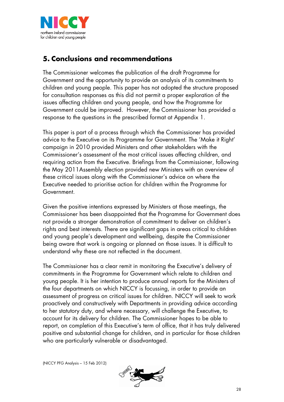

# **5. Conclusions and recommendations**

The Commissioner welcomes the publication of the draft Programme for Government and the opportunity to provide an analysis of its commitments to children and young people. This paper has not adopted the structure proposed for consultation responses as this did not permit a proper exploration of the issues affecting children and young people, and how the Programme for Government could be improved. However, the Commissioner has provided a response to the questions in the prescribed format at Appendix 1.

This paper is part of a process through which the Commissioner has provided advice to the Executive on its Programme for Government. The 'Make it Right' campaign in 2010 provided Ministers and other stakeholders with the Commissioner's assessment of the most critical issues affecting children, and requiring action from the Executive. Briefings from the Commissioner, following the May 2011Assembly election provided new Ministers with an overview of these critical issues along with the Commissioner's advice on where the Executive needed to prioritise action for children within the Programme for Government.

Given the positive intentions expressed by Ministers at those meetings, the Commissioner has been disappointed that the Programme for Government does not provide a stronger demonstration of commitment to deliver on children's rights and best interests. There are significant gaps in areas critical to children and young people's development and wellbeing, despite the Commissioner being aware that work is ongoing or planned on those issues. It is difficult to understand why these are not reflected in the document.

The Commissioner has a clear remit in monitoring the Executive's delivery of commitments in the Programme for Government which relate to children and young people. It is her intention to produce annual reports for the Ministers of the four departments on which NICCY is focussing, in order to provide an assessment of progress on critical issues for children. NICCY will seek to work proactively and constructively with Departments in providing advice according to her statutory duty, and where necessary, will challenge the Executive, to account for its delivery for children. The Commissioner hopes to be able to report, on completion of this Executive's term of office, that it has truly delivered positive and substantial change for children, and in particular for those children who are particularly vulnerable or disadvantaged.

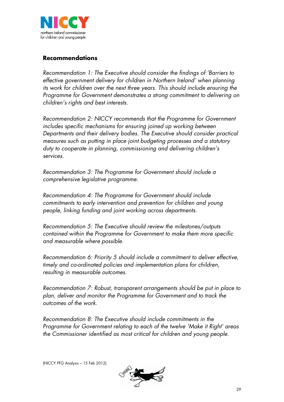

## **Recommendations**

*Recommendation 1: The Executive should consider the findings of 'Barriers to effective government delivery for children in Northern Ireland' when planning its work for children over the next three years. This should include ensuring the Programme for Government demonstrates a strong commitment to delivering on children's rights and best interests.*

*Recommendation 2: NICCY recommends that the Programme for Government includes specific mechanisms for ensuring joined up working between Departments and their delivery bodies. The Executive should consider practical measures such as putting in place joint budgeting processes and a statutory duty to cooperate in planning, commissioning and delivering children's services.*

*Recommendation 3: The Programme for Government should include a comprehensive legislative programme.*

*Recommendation 4: The Programme for Government should include commitments to early intervention and prevention for children and young people, linking funding and joint working across departments.*

*Recommendation 5: The Executive should review the milestones/outputs contained within the Programme for Government to make them more specific and measurable where possible.*

*Recommendation 6: Priority 5 should include a commitment to deliver effective, timely and co-ordinated policies and implementation plans for children, resulting in measurable outcomes.*

*Recommendation 7: Robust, transparent arrangements should be put in place to plan, deliver and monitor the Programme for Government and to track the outcomes of the work.*

*Recommendation 8: The Executive should include commitments in the Programme for Government relating to each of the twelve 'Make it Right' areas the Commissioner identified as most critical for children and young people.*

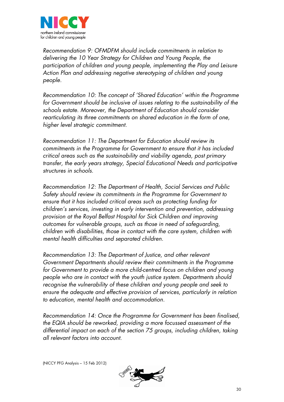

*Recommendation 9: OFMDFM should include commitments in relation to delivering the 10 Year Strategy for Children and Young People, the participation of children and young people, implementing the Play and Leisure Action Plan and addressing negative stereotyping of children and young people.*

*Recommendation 10: The concept of 'Shared Education' within the Programme for Government should be inclusive of issues relating to the sustainability of the schools estate*. *Moreover, the Department of Education should consider rearticulating its three commitments on shared education in the form of one, higher level strategic commitment.*

*Recommendation 11: The Department for Education should review its commitments in the Programme for Government to ensure that it has included critical areas such as the sustainability and viability agenda, post primary transfer, the early years strategy, Special Educational Needs and participative structures in schools.*

*Recommendation 12: The Department of Health, Social Services and Public Safety should review its commitments in the Programme for Government to ensure that it has included critical areas such as protecting funding for children's services, investing in early intervention and prevention, addressing provision at the Royal Belfast Hospital for Sick Children and improving outcomes for vulnerable groups, such as those in need of safeguarding, children with disabilities, those in contact with the care system, children with mental health difficulties and separated children.* 

*Recommendation 13: The Department of Justice, and other relevant Government Departments should review their commitments in the Programme for Government to provide a more child-centred focus on children and young people who are in contact with the youth justice system. Departments should recognise the vulnerability of these children and young people and seek to ensure the adequate and effective provision of services, particularly in relation to education, mental health and accommodation.* 

*Recommendation 14: Once the Programme for Government has been finalised, the EQIA should be reworked, providing a more focussed assessment of the differential impact on each of the section 75 groups, including children, taking all relevant factors into account.*

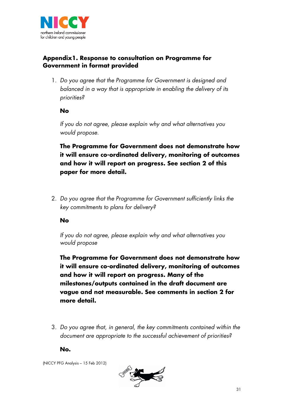

## **Appendix1. Response to consultation on Programme for Government in format provided**

1. *Do you agree that the Programme for Government is designed and balanced in a way that is appropriate in enabling the delivery of its priorities?*

#### **No**

*If you do not agree, please explain why and what alternatives you would propose.*

**The Programme for Government does not demonstrate how it will ensure co-ordinated delivery, monitoring of outcomes and how it will report on progress. See section 2 of this paper for more detail.**

2. *Do you agree that the Programme for Government sufficiently links the key commitments to plans for delivery?*

#### **No**

*If you do not agree, please explain why and what alternatives you would propose*

**The Programme for Government does not demonstrate how it will ensure co-ordinated delivery, monitoring of outcomes and how it will report on progress. Many of the milestones/outputs contained in the draft document are vague and not measurable. See comments in section 2 for more detail.**

3. *Do you agree that, in general, the key commitments contained within the document are appropriate to the successful achievement of priorities?*

**No.**

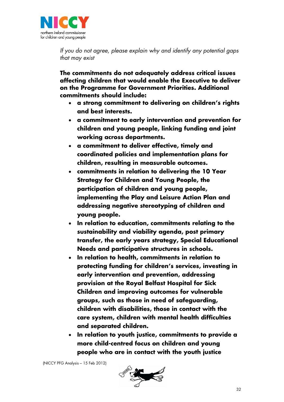

*If you do not agree, please explain why and identify any potential gaps that may exist*

**The commitments do not adequately address critical issues affecting children that would enable the Executive to deliver on the Programme for Government Priorities. Additional commitments should include:**

- **a strong commitment to delivering on children's rights and best interests.**
- **a commitment to early intervention and prevention for children and young people, linking funding and joint working across departments.**
- **a commitment to deliver effective, timely and coordinated policies and implementation plans for children, resulting in measurable outcomes.**
- **commitments in relation to delivering the 10 Year Strategy for Children and Young People, the participation of children and young people, implementing the Play and Leisure Action Plan and addressing negative stereotyping of children and young people.**
- **In relation to education, commitments relating to the sustainability and viability agenda, post primary transfer, the early years strategy, Special Educational Needs and participative structures in schools.**
- **In relation to health, commitments in relation to protecting funding for children's services, investing in early intervention and prevention, addressing provision at the Royal Belfast Hospital for Sick Children and improving outcomes for vulnerable groups, such as those in need of safeguarding, children with disabilities, those in contact with the care system, children with mental health difficulties and separated children.**
- **In relation to youth justice, commitments to provide a more child-centred focus on children and young people who are in contact with the youth justice**

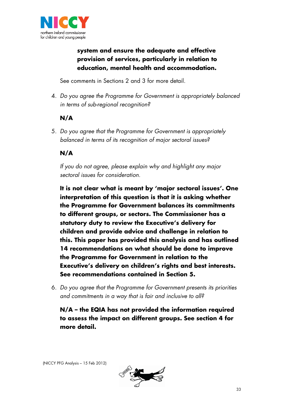

# **system and ensure the adequate and effective provision of services, particularly in relation to education, mental health and accommodation.**

See comments in Sections 2 and 3 for more detail.

4. *Do you agree the Programme for Government is appropriately balanced in terms of sub-regional recognition?*

# **N/A**

5. *Do you agree that the Programme for Government is appropriately balanced in terms of its recognition of major sectoral issues?*

# **N/A**

*If you do not agree, please explain why and highlight any major sectoral issues for consideration.*

**It is not clear what is meant by 'major sectoral issues'. One interpretation of this question is that it is asking whether the Programme for Government balances its commitments to different groups, or sectors. The Commissioner has a statutory duty to review the Executive's delivery for children and provide advice and challenge in relation to this. This paper has provided this analysis and has outlined 14 recommendations on what should be done to improve the Programme for Government in relation to the Executive's delivery on children's rights and best interests. See recommendations contained in Section 5.**

6. *Do you agree that the Programme for Government presents its priorities and commitments in a way that is fair and inclusive to all?*

**N/A – the EQIA has not provided the information required to assess the impact on different groups. See section 4 for more detail.**